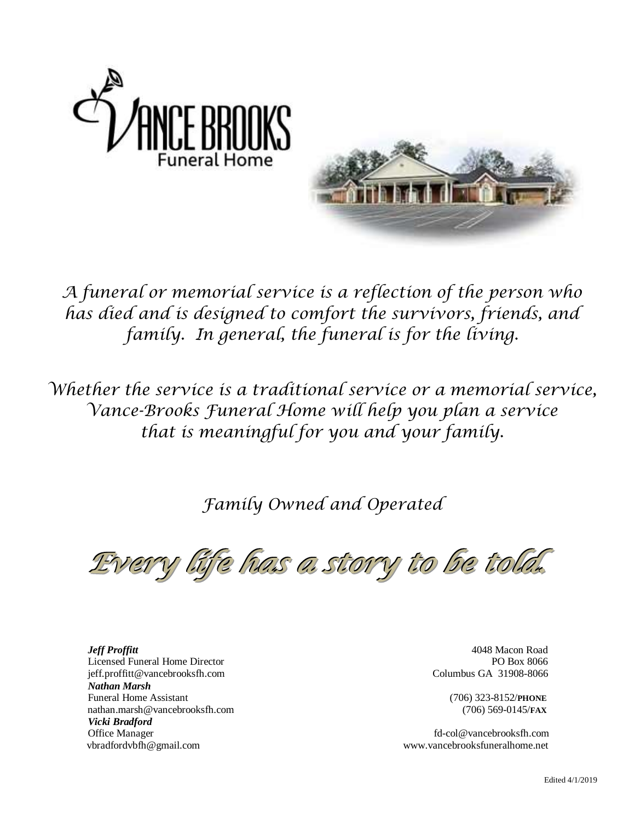

*A funeral or memorial service is a reflection of the person who has died and is designed to comfort the survivors, friends, and family. In general, the funeral is for the living.*

*Whether the service is a traditional service or a memorial service, Vance-Brooks Funeral Home will help you plan a service that is meaningful for you and your family.*

*Family Owned and Operated*

*Every life has a story to be told.*

 *Jeff Proffitt* 4048 Macon Road Licensed Funeral Home Director PO Box 8066 jeff.proffitt@vancebrooksfh.com Columbus GA 31908-8066  *Nathan Marsh* Funeral Home Assistant (706) 323-8152/**PHONE** nathan.marsh@vancebrooksfh.com (706) 569-0145/**FAX**  *Vicki Bradford* vbradfordvbfh@gmail.com www.vancebrooksfuneralhome.net

Office Managerfd-col@vancebrooksfh.com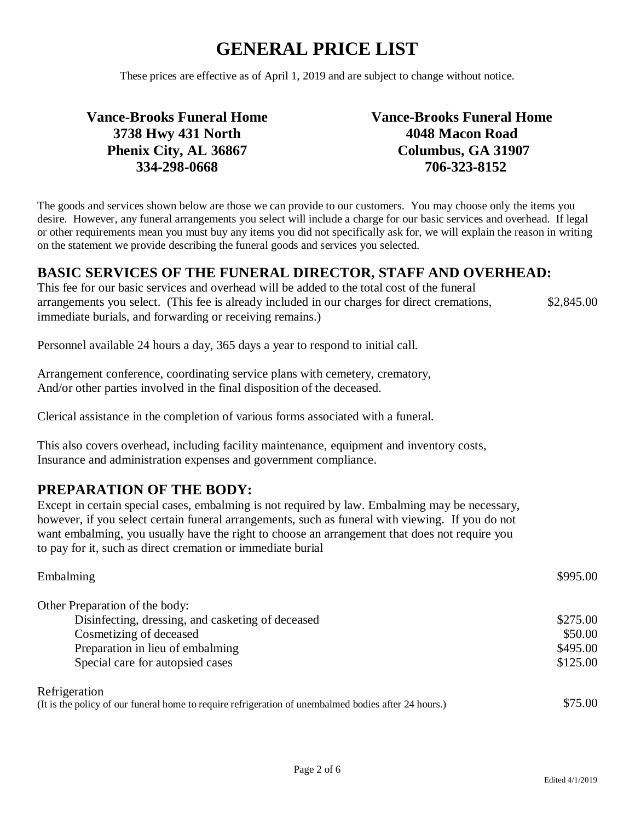These prices are effective as of April 1, 2019 and are subject to change without notice.

### **Vance-Brooks Funeral Home 3738 Hwy 431 North Phenix City, AL 36867 334-298-0668**

**Vance-Brooks Funeral Home 4048 Macon Road Columbus, GA 31907 706-323-8152**

The goods and services shown below are those we can provide to our customers. You may choose only the items you desire. However, any funeral arrangements you select will include a charge for our basic services and overhead. If legal or other requirements mean you must buy any items you did not specifically ask for, we will explain the reason in writing on the statement we provide describing the funeral goods and services you selected.

### **BASIC SERVICES OF THE FUNERAL DIRECTOR, STAFF AND OVERHEAD:**

This fee for our basic services and overhead will be added to the total cost of the funeral arrangements you select. (This fee is already included in our charges for direct cremations, immediate burials, and forwarding or receiving remains.) \$2,845.00

Personnel available 24 hours a day, 365 days a year to respond to initial call.

Arrangement conference, coordinating service plans with cemetery, crematory, And/or other parties involved in the final disposition of the deceased.

Clerical assistance in the completion of various forms associated with a funeral.

This also covers overhead, including facility maintenance, equipment and inventory costs, Insurance and administration expenses and government compliance.

### **PREPARATION OF THE BODY:**

Except in certain special cases, embalming is not required by law. Embalming may be necessary, however, if you select certain funeral arrangements, such as funeral with viewing. If you do not want embalming, you usually have the right to choose an arrangement that does not require you to pay for it, such as direct cremation or immediate burial

| Embalming                                                                                            | \$995.00 |
|------------------------------------------------------------------------------------------------------|----------|
| Other Preparation of the body:                                                                       |          |
| Disinfecting, dressing, and casketing of deceased                                                    | \$275.00 |
| Cosmetizing of deceased                                                                              | \$50.00  |
| Preparation in lieu of embalming                                                                     | \$495.00 |
| Special care for autopsied cases                                                                     | \$125.00 |
| Refrigeration                                                                                        |          |
| (It is the policy of our funeral home to require refrigeration of unembalmed bodies after 24 hours.) | \$75.00  |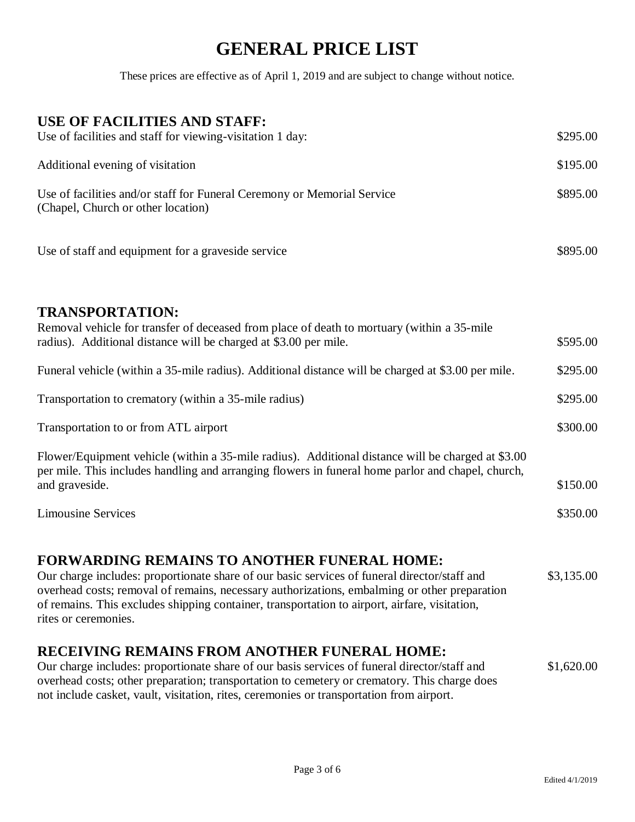These prices are effective as of April 1, 2019 and are subject to change without notice.

| <b>USE OF FACILITIES AND STAFF:</b>                                                                                                                                                                                                                                                                                                                 |            |
|-----------------------------------------------------------------------------------------------------------------------------------------------------------------------------------------------------------------------------------------------------------------------------------------------------------------------------------------------------|------------|
| Use of facilities and staff for viewing-visitation 1 day:                                                                                                                                                                                                                                                                                           | \$295.00   |
| Additional evening of visitation                                                                                                                                                                                                                                                                                                                    | \$195.00   |
| Use of facilities and/or staff for Funeral Ceremony or Memorial Service<br>(Chapel, Church or other location)                                                                                                                                                                                                                                       | \$895.00   |
| Use of staff and equipment for a graveside service                                                                                                                                                                                                                                                                                                  | \$895.00   |
| <b>TRANSPORTATION:</b><br>Removal vehicle for transfer of deceased from place of death to mortuary (within a 35-mile<br>radius). Additional distance will be charged at \$3.00 per mile.                                                                                                                                                            | \$595.00   |
| Funeral vehicle (within a 35-mile radius). Additional distance will be charged at \$3.00 per mile.                                                                                                                                                                                                                                                  | \$295.00   |
| Transportation to crematory (within a 35-mile radius)                                                                                                                                                                                                                                                                                               | \$295.00   |
| Transportation to or from ATL airport                                                                                                                                                                                                                                                                                                               | \$300.00   |
| Flower/Equipment vehicle (within a 35-mile radius). Additional distance will be charged at \$3.00<br>per mile. This includes handling and arranging flowers in funeral home parlor and chapel, church,<br>and graveside.                                                                                                                            | \$150.00   |
| <b>Limousine Services</b>                                                                                                                                                                                                                                                                                                                           | \$350.00   |
| <b>FORWARDING REMAINS TO ANOTHER FUNERAL HOME:</b><br>Our charge includes: proportionate share of our basic services of funeral director/staff and<br>overhead costs; removal of remains, necessary authorizations, embalming or other preparation<br>of remains. This excludes shipping container, transportation to airport, airfare, visitation, | \$3,135.00 |

### **RECEIVING REMAINS FROM ANOTHER FUNERAL HOME:**

rites or ceremonies.

| Our charge includes: proportionate share of our basis services of funeral director/staff and | \$1,620.00 |
|----------------------------------------------------------------------------------------------|------------|
| overhead costs; other preparation; transportation to cemetery or crematory. This charge does |            |
| not include casket, vault, visitation, rites, ceremonies or transportation from airport.     |            |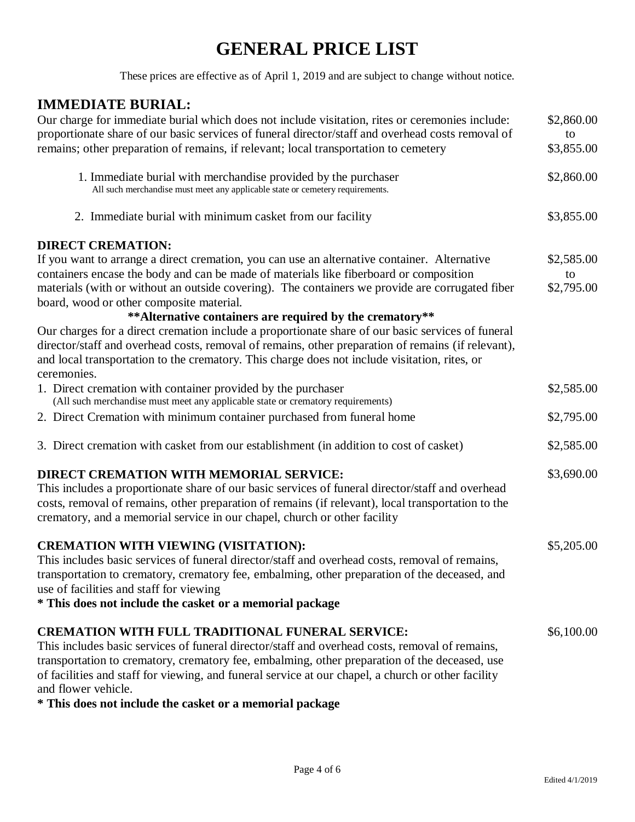These prices are effective as of April 1, 2019 and are subject to change without notice.

### **IMMEDIATE BURIAL:**

| Our charge for immediate burial which does not include visitation, rites or ceremonies include:<br>proportionate share of our basic services of funeral director/staff and overhead costs removal of<br>remains; other preparation of remains, if relevant; local transportation to cemetery | \$2,860.00<br>to<br>\$3,855.00 |
|----------------------------------------------------------------------------------------------------------------------------------------------------------------------------------------------------------------------------------------------------------------------------------------------|--------------------------------|
| 1. Immediate burial with merchandise provided by the purchaser<br>All such merchandise must meet any applicable state or cemetery requirements.                                                                                                                                              | \$2,860.00                     |
| 2. Immediate burial with minimum casket from our facility                                                                                                                                                                                                                                    | \$3,855.00                     |
| <b>DIRECT CREMATION:</b>                                                                                                                                                                                                                                                                     |                                |
| If you want to arrange a direct cremation, you can use an alternative container. Alternative                                                                                                                                                                                                 | \$2,585.00                     |
| containers encase the body and can be made of materials like fiberboard or composition                                                                                                                                                                                                       | to                             |
| materials (with or without an outside covering). The containers we provide are corrugated fiber<br>board, wood or other composite material.                                                                                                                                                  | \$2,795.00                     |
| ** Alternative containers are required by the crematory**                                                                                                                                                                                                                                    |                                |
| Our charges for a direct cremation include a proportionate share of our basic services of funeral                                                                                                                                                                                            |                                |
| director/staff and overhead costs, removal of remains, other preparation of remains (if relevant),                                                                                                                                                                                           |                                |
| and local transportation to the crematory. This charge does not include visitation, rites, or<br>ceremonies.                                                                                                                                                                                 |                                |
| 1. Direct cremation with container provided by the purchaser<br>(All such merchandise must meet any applicable state or crematory requirements)                                                                                                                                              | \$2,585.00                     |
| 2. Direct Cremation with minimum container purchased from funeral home                                                                                                                                                                                                                       | \$2,795.00                     |
| 3. Direct cremation with casket from our establishment (in addition to cost of casket)                                                                                                                                                                                                       | \$2,585.00                     |
| <b>DIRECT CREMATION WITH MEMORIAL SERVICE:</b>                                                                                                                                                                                                                                               | \$3,690.00                     |
| This includes a proportionate share of our basic services of funeral director/staff and overhead                                                                                                                                                                                             |                                |
| costs, removal of remains, other preparation of remains (if relevant), local transportation to the<br>crematory, and a memorial service in our chapel, church or other facility                                                                                                              |                                |
| <b>CREMATION WITH VIEWING (VISITATION):</b>                                                                                                                                                                                                                                                  | \$5,205.00                     |
| This includes basic services of funeral director/staff and overhead costs, removal of remains,                                                                                                                                                                                               |                                |
| transportation to crematory, crematory fee, embalming, other preparation of the deceased, and                                                                                                                                                                                                |                                |
| use of facilities and staff for viewing                                                                                                                                                                                                                                                      |                                |
| * This does not include the casket or a memorial package                                                                                                                                                                                                                                     |                                |
| <b>CREMATION WITH FULL TRADITIONAL FUNERAL SERVICE:</b>                                                                                                                                                                                                                                      | \$6,100.00                     |
| This includes basic services of funeral director/staff and overhead costs, removal of remains,                                                                                                                                                                                               |                                |
| transportation to crematory, crematory fee, embalming, other preparation of the deceased, use                                                                                                                                                                                                |                                |
| of facilities and staff for viewing, and funeral service at our chapel, a church or other facility                                                                                                                                                                                           |                                |

and flower vehicle.

**\* This does not include the casket or a memorial package**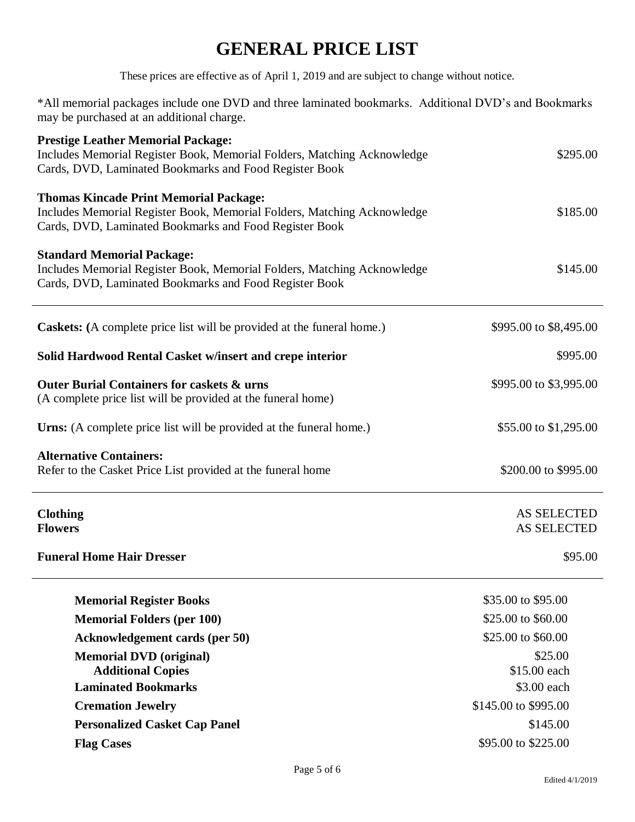These prices are effective as of April 1, 2019 and are subject to change without notice.

\*All memorial packages include one DVD and three laminated bookmarks. Additional DVD's and Bookmarks may be purchased at an additional charge.

| <b>Prestige Leather Memorial Package:</b><br>Includes Memorial Register Book, Memorial Folders, Matching Acknowledge<br>Cards, DVD, Laminated Bookmarks and Food Register Book     | \$295.00                                 |
|------------------------------------------------------------------------------------------------------------------------------------------------------------------------------------|------------------------------------------|
| <b>Thomas Kincade Print Memorial Package:</b><br>Includes Memorial Register Book, Memorial Folders, Matching Acknowledge<br>Cards, DVD, Laminated Bookmarks and Food Register Book | \$185.00                                 |
| <b>Standard Memorial Package:</b><br>Includes Memorial Register Book, Memorial Folders, Matching Acknowledge<br>Cards, DVD, Laminated Bookmarks and Food Register Book             | \$145.00                                 |
| <b>Caskets:</b> (A complete price list will be provided at the funeral home.)                                                                                                      | \$995.00 to \$8,495.00                   |
| Solid Hardwood Rental Casket w/insert and crepe interior                                                                                                                           | \$995.00                                 |
| <b>Outer Burial Containers for caskets &amp; urns</b><br>(A complete price list will be provided at the funeral home)                                                              | \$995.00 to \$3,995.00                   |
| <b>Urns:</b> (A complete price list will be provided at the funeral home.)                                                                                                         | \$55.00 to \$1,295.00                    |
| <b>Alternative Containers:</b><br>Refer to the Casket Price List provided at the funeral home                                                                                      | \$200.00 to \$995.00                     |
| <b>Clothing</b><br><b>Flowers</b>                                                                                                                                                  | <b>AS SELECTED</b><br><b>AS SELECTED</b> |
| <b>Funeral Home Hair Dresser</b>                                                                                                                                                   | \$95.00                                  |
| <b>Memorial Register Books</b>                                                                                                                                                     | \$35.00 to \$95.00                       |
| <b>Memorial Folders (per 100)</b>                                                                                                                                                  | \$25.00 to \$60.00                       |
| <b>Acknowledgement cards (per 50)</b>                                                                                                                                              | \$25.00 to \$60.00                       |
| <b>Memorial DVD</b> (original)                                                                                                                                                     | \$25.00                                  |
| <b>Additional Copies</b>                                                                                                                                                           | \$15.00 each                             |
| <b>Laminated Bookmarks</b>                                                                                                                                                         | \$3.00 each                              |
| <b>Cremation Jewelry</b>                                                                                                                                                           | \$145.00 to \$995.00                     |
| <b>Personalized Casket Cap Panel</b>                                                                                                                                               | \$145.00                                 |
| <b>Flag Cases</b>                                                                                                                                                                  | \$95.00 to \$225.00                      |